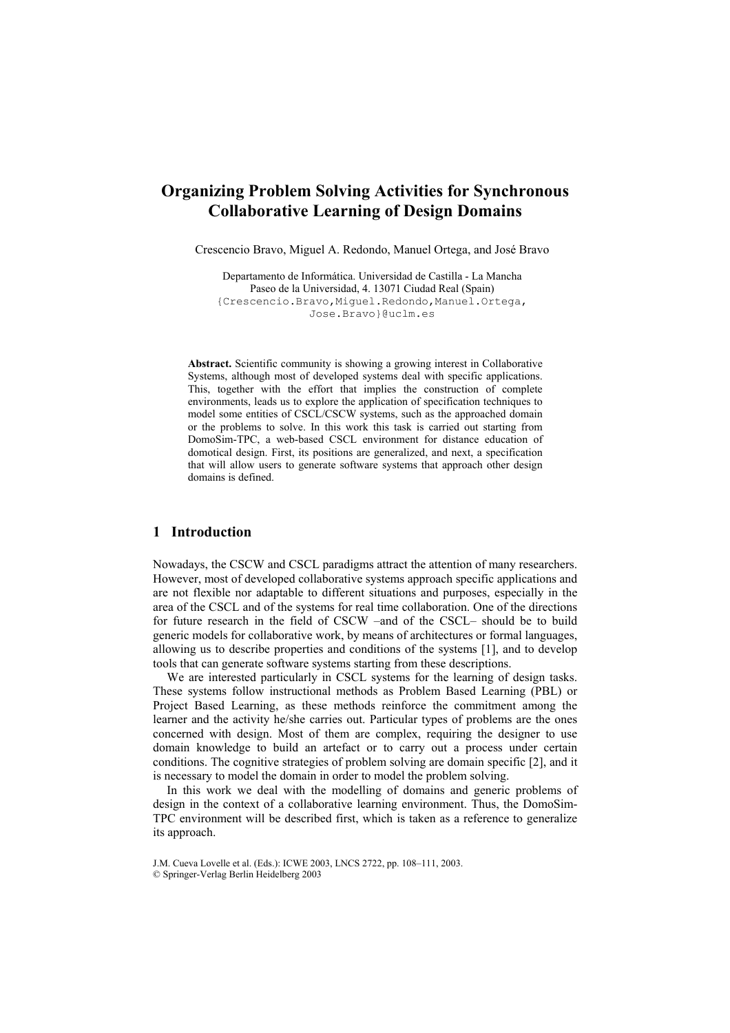# **Organizing Problem Solving Activities for Synchronous Collaborative Learning of Design Domains**

Crescencio Bravo, Miguel A. Redondo, Manuel Ortega, and José Bravo

Departamento de Informática. Universidad de Castilla - La Mancha Paseo de la Universidad, 4. 13071 Ciudad Real (Spain) {Crescencio.Bravo,Miguel.Redondo,Manuel.Ortega, Jose.Bravo}@uclm.es

**Abstract.** Scientific community is showing a growing interest in Collaborative Systems, although most of developed systems deal with specific applications. This, together with the effort that implies the construction of complete environments, leads us to explore the application of specification techniques to model some entities of CSCL/CSCW systems, such as the approached domain or the problems to solve. In this work this task is carried out starting from DomoSim-TPC, a web-based CSCL environment for distance education of domotical design. First, its positions are generalized, and next, a specification that will allow users to generate software systems that approach other design domains is defined.

#### **1 Introduction**

Nowadays, the CSCW and CSCL paradigms attract the attention of many researchers. However, most of developed collaborative systems approach specific applications and are not flexible nor adaptable to different situations and purposes, especially in the area of the CSCL and of the systems for real time collaboration. One of the directions for future research in the field of CSCW  $-$ and of the CSCL $-$  should be to build generic models for collaborative work, by means of architectures or formal languages, allowing us to describe properties and conditions of the systems [1], and to develop tools that can generate software systems starting from these descriptions.

We are interested particularly in CSCL systems for the learning of design tasks. These systems follow instructional methods as Problem Based Learning (PBL) or Project Based Learning, as these methods reinforce the commitment among the learner and the activity he/she carries out. Particular types of problems are the ones concerned with design. Most of them are complex, requiring the designer to use domain knowledge to build an artefact or to carry out a process under certain conditions. The cognitive strategies of problem solving are domain specific [2], and it is necessary to model the domain in order to model the problem solving.

In this work we deal with the modelling of domains and generic problems of design in the context of a collaborative learning environment. Thus, the DomoSim-TPC environment will be described first, which is taken as a reference to generalize its approach.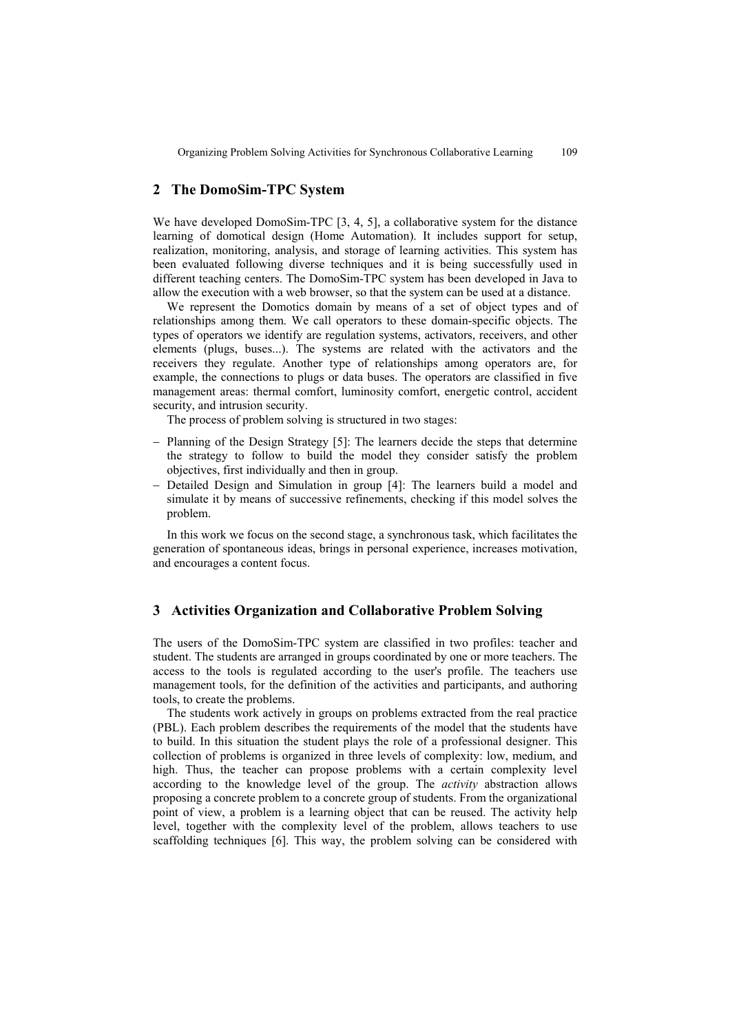## **2 The DomoSim-TPC System**

We have developed DomoSim-TPC [3, 4, 5], a collaborative system for the distance learning of domotical design (Home Automation). It includes support for setup, realization, monitoring, analysis, and storage of learning activities. This system has been evaluated following diverse techniques and it is being successfully used in different teaching centers. The DomoSim-TPC system has been developed in Java to allow the execution with a web browser, so that the system can be used at a distance.

We represent the Domotics domain by means of a set of object types and of relationships among them. We call operators to these domain-specific objects. The types of operators we identify are regulation systems, activators, receivers, and other elements (plugs, buses...). The systems are related with the activators and the receivers they regulate. Another type of relationships among operators are, for example, the connections to plugs or data buses. The operators are classified in five management areas: thermal comfort, luminosity comfort, energetic control, accident security, and intrusion security.

The process of problem solving is structured in two stages:

- − Planning of the Design Strategy [5]: The learners decide the steps that determine the strategy to follow to build the model they consider satisfy the problem objectives, first individually and then in group.
- − Detailed Design and Simulation in group [4]: The learners build a model and simulate it by means of successive refinements, checking if this model solves the problem.

In this work we focus on the second stage, a synchronous task, which facilitates the generation of spontaneous ideas, brings in personal experience, increases motivation, and encourages a content focus.

#### **3 Activities Organization and Collaborative Problem Solving**

The users of the DomoSim-TPC system are classified in two profiles: teacher and student. The students are arranged in groups coordinated by one or more teachers. The access to the tools is regulated according to the user's profile. The teachers use management tools, for the definition of the activities and participants, and authoring tools, to create the problems.

The students work actively in groups on problems extracted from the real practice (PBL). Each problem describes the requirements of the model that the students have to build. In this situation the student plays the role of a professional designer. This collection of problems is organized in three levels of complexity: low, medium, and high. Thus, the teacher can propose problems with a certain complexity level according to the knowledge level of the group. The *activity* abstraction allows proposing a concrete problem to a concrete group of students. From the organizational point of view, a problem is a learning object that can be reused. The activity help level, together with the complexity level of the problem, allows teachers to use scaffolding techniques [6]. This way, the problem solving can be considered with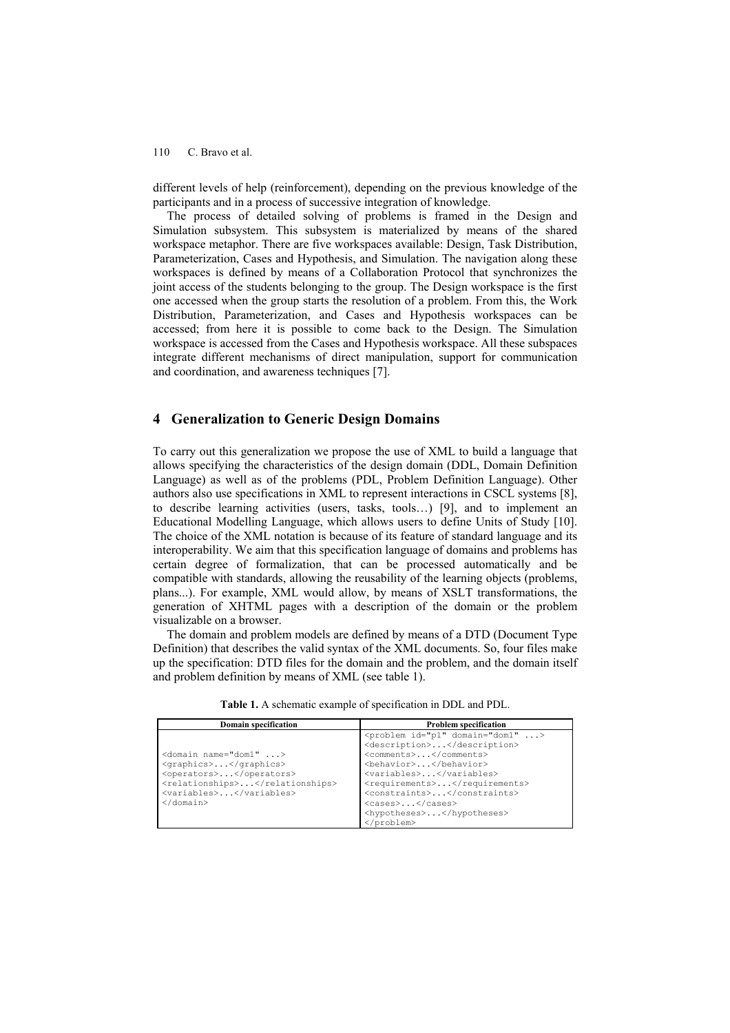different levels of help (reinforcement), depending on the previous knowledge of the participants and in a process of successive integration of knowledge.

The process of detailed solving of problems is framed in the Design and Simulation subsystem. This subsystem is materialized by means of the shared workspace metaphor. There are five workspaces available: Design, Task Distribution, Parameterization, Cases and Hypothesis, and Simulation. The navigation along these workspaces is defined by means of a Collaboration Protocol that synchronizes the joint access of the students belonging to the group. The Design workspace is the first one accessed when the group starts the resolution of a problem. From this, the Work Distribution, Parameterization, and Cases and Hypothesis workspaces can be accessed; from here it is possible to come back to the Design. The Simulation workspace is accessed from the Cases and Hypothesis workspace. All these subspaces integrate different mechanisms of direct manipulation, support for communication and coordination, and awareness techniques [7].

# **4 Generalization to Generic Design Domains**

To carry out this generalization we propose the use of XML to build a language that allows specifying the characteristics of the design domain (DDL, Domain Definition Language) as well as of the problems (PDL, Problem Definition Language). Other authors also use specifications in XML to represent interactions in CSCL systems [8], to describe learning activities (users, tasks, tools...) [9], and to implement an Educational Modelling Language, which allows users to define Units of Study [10]. The choice of the XML notation is because of its feature of standard language and its interoperability. We aim that this specification language of domains and problems has certain degree of formalization, that can be processed automatically and be compatible with standards, allowing the reusability of the learning objects (problems, plans...). For example, XML would allow, by means of XSLT transformations, the generation of XHTML pages with a description of the domain or the problem visualizable on a browser.

The domain and problem models are defined by means of a DTD (Document Type Definition) that describes the valid syntax of the XML documents. So, four files make up the specification: DTD files for the domain and the problem, and the domain itself and problem definition by means of XML (see table 1).

| <b>Domain specification</b>     | <b>Problem specification</b>              |
|---------------------------------|-------------------------------------------|
|                                 | <problem domain="dom1" id="p1"></problem> |
|                                 | <description></description>               |
| <domain name="dom1"></domain>   | <comments></comments>                     |
| <graphics></graphics>           | <behavior></behavior>                     |
| <operators></operators>         | <variables></variables>                   |
| <relationships></relationships> | <requirements></requirements>             |
| <variables></variables>         | <constraints></constraints>               |
| $\langle$ /domain>              | <cases></cases>                           |
|                                 | <hypotheses></hypotheses>                 |
|                                 |                                           |

**Table 1.** A schematic example of specification in DDL and PDL.